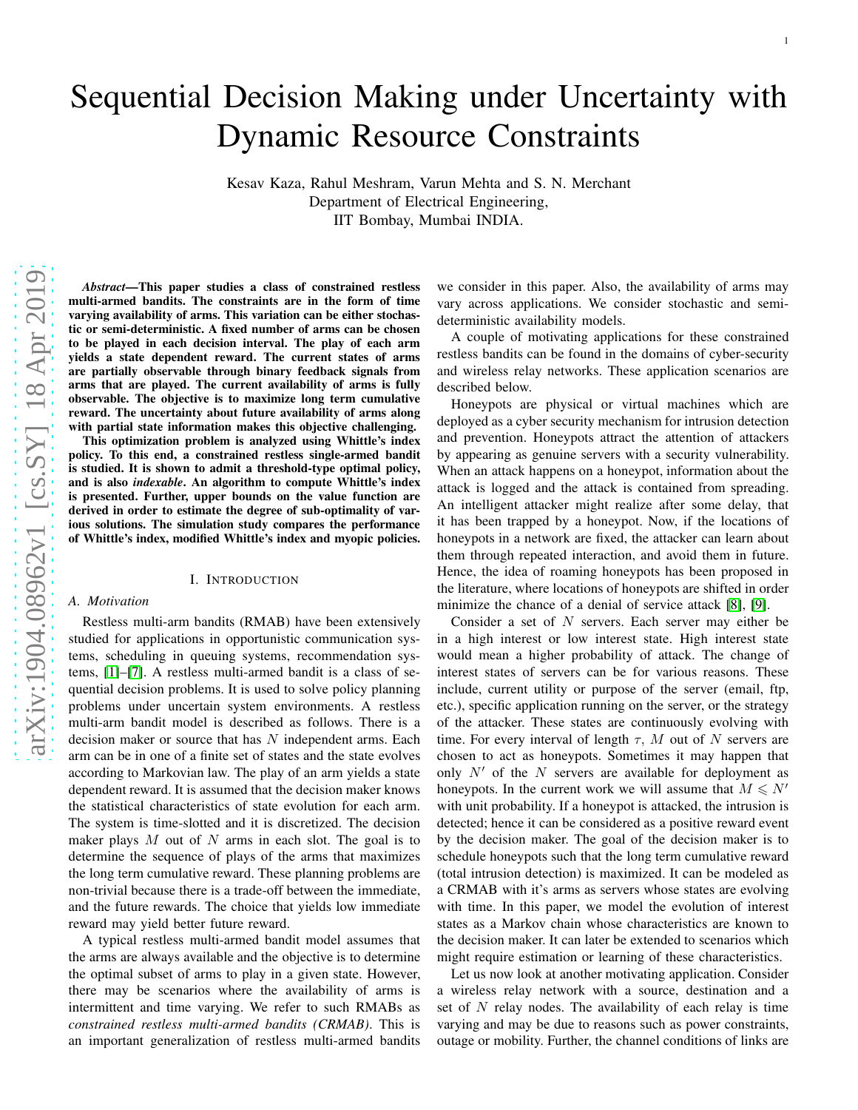# Sequential Decision Making under Uncertainty with Dynamic Resource Constraints

Kesav Kaza, Rahul Meshram, Varun Mehta and S. N. Merchant Department of Electrical Engineering, IIT Bombay, Mumbai INDIA.

*Abstract*—This paper studies a class of constrained restless multi-armed bandits. The constraints are in the form of time varying availability of arms. This variation can be either stochastic or semi-deterministic. A fixed number of arms can be chosen to be played in each decision interval. The play of each arm yields a state dependent reward. The current states of arms are partially observable through binary feedback signals from arms that are played. The current availability of arms is fully observable. The objective is to maximize long term cumulative reward. The uncertainty about future availability of arms along with partial state information makes this objective challenging.

This optimization problem is analyzed using Whittle's inde x policy. To this end, a constrained restless single-armed bandit is studied. It is shown to admit a threshold-type optimal policy, and is also *indexable*. An algorithm to compute Whittle's index is presented. Further, upper bounds on the value function ar e derived in order to estimate the degree of sub-optimality of various solutions. The simulation study compares the performance of Whittle's index, modified Whittle's index and myopic policies.

#### I. INTRODUCTION

## *A. Motivation*

Restless multi-arm bandits (RMAB) have been extensively studied for applications in opportunistic communication systems, scheduling in queuing systems, recommendation systems, [\[1\]](#page-9-0)–[\[7\]](#page-9-1). A restless multi-armed bandit is a class of sequential decision problems. It is used to solve policy planning problems under uncertain system environments. A restless multi-arm bandit model is described as follows. There is a decision maker or source that has  $N$  independent arms. Each arm can be in one of a finite set of states and the state evolves according to Markovian law. The play of an arm yields a state dependent reward. It is assumed that the decision maker know s the statistical characteristics of state evolution for each arm. The system is time-slotted and it is discretized. The decision maker plays  $M$  out of  $N$  arms in each slot. The goal is to determine the sequence of plays of the arms that maximizes the long term cumulative reward. These planning problems ar e non-trivial because there is a trade-off between the immediate, and the future rewards. The choice that yields low immediate reward may yield better future reward.

A typical restless multi-armed bandit model assumes that the arms are always available and the objective is to determine the optimal subset of arms to play in a given state. However, there may be scenarios where the availability of arms is intermittent and time varying. We refer to such RMABs as *constrained restless multi-armed bandits (CRMAB)*. This is an important generalization of restless multi-armed bandits we consider in this paper. Also, the availability of arms may vary across applications. We consider stochastic and semideterministic availability models.

A couple of motivating applications for these constrained restless bandits can be found in the domains of cyber-security and wireless relay networks. These application scenarios are described below.

Honeypots are physical or virtual machines which are deployed as a cyber security mechanism for intrusion detection and prevention. Honeypots attract the attention of attackers by appearing as genuine servers with a security vulnerability. When an attack happens on a honeypot, information about the attack is logged and the attack is contained from spreading. An intelligent attacker might realize after some delay, tha t it has been trapped by a honeypot. Now, if the locations of honeypots in a network are fixed, the attacker can learn about them through repeated interaction, and avoid them in future . Hence, the idea of roaming honeypots has been proposed in the literature, where locations of honeypots are shifted in order minimize the chance of a denial of service attack [\[8\]](#page-9-2), [\[9\]](#page-9-3).

Consider a set of  $N$  servers. Each server may either be in a high interest or low interest state. High interest state would mean a higher probability of attack. The change of interest states of servers can be for various reasons. These include, current utility or purpose of the server (email, ftp, etc.), specific application running on the server, or the strategy of the attacker. These states are continuously evolving wit h time. For every interval of length  $\tau$ , M out of N servers are chosen to act as honeypots. Sometimes it may happen that only  $N'$  of the  $N$  servers are available for deployment as honeypots. In the current work we will assume that  $M \le N'$ with unit probability. If a honeypot is attacked, the intrusion is detected; hence it can be considered as a positive reward event by the decision maker. The goal of the decision maker is to schedule honeypots such that the long term cumulative rewar d (total intrusion detection) is maximized. It can be modeled as a CRMAB with it's arms as servers whose states are evolving with time. In this paper, we model the evolution of interest states as a Markov chain whose characteristics are known to the decision maker. It can later be extended to scenarios which might require estimation or learning of these characteristics.

Let us now look at another motivating application. Consider a wireless relay network with a source, destination and a set of  $N$  relay nodes. The availability of each relay is time varying and may be due to reasons such as power constraints, outage or mobility. Further, the channel conditions of links are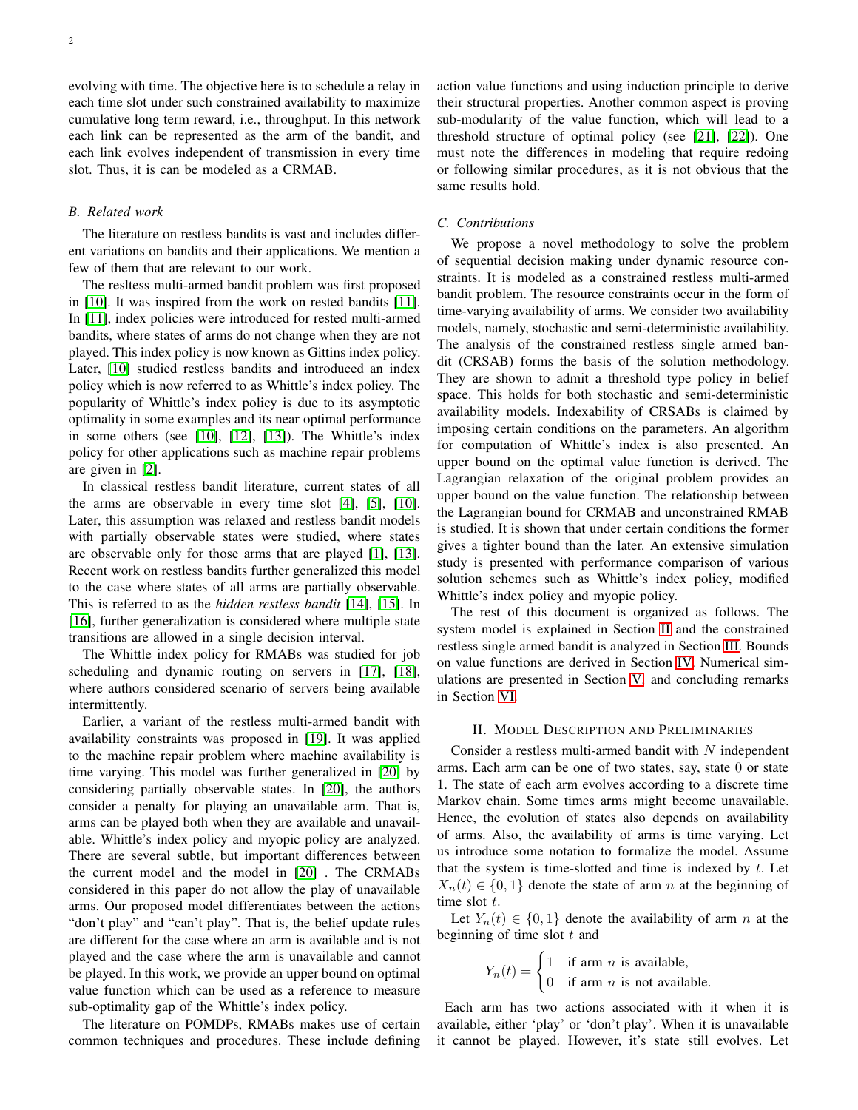evolving with time. The objective here is to schedule a relay in each time slot under such constrained availability to maximize cumulative long term reward, i.e., throughput. In this network each link can be represented as the arm of the bandit, and each link evolves independent of transmission in every time slot. Thus, it is can be modeled as a CRMAB.

### *B. Related work*

The literature on restless bandits is vast and includes different variations on bandits and their applications. We mention a few of them that are relevant to our work.

The resltess multi-armed bandit problem was first proposed in [\[10\]](#page-9-4). It was inspired from the work on rested bandits [\[11\]](#page-9-5). In [\[11\]](#page-9-5), index policies were introduced for rested multi-armed bandits, where states of arms do not change when they are not played. This index policy is now known as Gittins index policy. Later, [\[10\]](#page-9-4) studied restless bandits and introduced an index policy which is now referred to as Whittle's index policy. The popularity of Whittle's index policy is due to its asymptotic optimality in some examples and its near optimal performance in some others (see [\[10\]](#page-9-4), [\[12\]](#page-9-6), [\[13\]](#page-9-7)). The Whittle's index policy for other applications such as machine repair problems are given in [\[2\]](#page-9-8).

In classical restless bandit literature, current states of all the arms are observable in every time slot [\[4\]](#page-9-9), [\[5\]](#page-9-10), [\[10\]](#page-9-4). Later, this assumption was relaxed and restless bandit models with partially observable states were studied, where states are observable only for those arms that are played [\[1\]](#page-9-0), [\[13\]](#page-9-7). Recent work on restless bandits further generalized this model to the case where states of all arms are partially observable. This is referred to as the *hidden restless bandit* [\[14\]](#page-9-11), [\[15\]](#page-9-12). In [\[16\]](#page-9-13), further generalization is considered where multiple state transitions are allowed in a single decision interval.

The Whittle index policy for RMABs was studied for job scheduling and dynamic routing on servers in [\[17\]](#page-9-14), [\[18\]](#page-9-15), where authors considered scenario of servers being available intermittently.

Earlier, a variant of the restless multi-armed bandit with availability constraints was proposed in [\[19\]](#page-9-16). It was applied to the machine repair problem where machine availability is time varying. This model was further generalized in [\[20\]](#page-9-17) by considering partially observable states. In [\[20\]](#page-9-17), the authors consider a penalty for playing an unavailable arm. That is, arms can be played both when they are available and unavailable. Whittle's index policy and myopic policy are analyzed. There are several subtle, but important differences between the current model and the model in [\[20\]](#page-9-17) . The CRMABs considered in this paper do not allow the play of unavailable arms. Our proposed model differentiates between the actions "don't play" and "can't play". That is, the belief update rules are different for the case where an arm is available and is not played and the case where the arm is unavailable and cannot be played. In this work, we provide an upper bound on optimal value function which can be used as a reference to measure sub-optimality gap of the Whittle's index policy.

The literature on POMDPs, RMABs makes use of certain common techniques and procedures. These include defining action value functions and using induction principle to derive their structural properties. Another common aspect is proving sub-modularity of the value function, which will lead to a threshold structure of optimal policy (see [\[21\]](#page-9-18), [\[22\]](#page-9-19)). One must note the differences in modeling that require redoing or following similar procedures, as it is not obvious that the same results hold.

# *C. Contributions*

We propose a novel methodology to solve the problem of sequential decision making under dynamic resource constraints. It is modeled as a constrained restless multi-armed bandit problem. The resource constraints occur in the form of time-varying availability of arms. We consider two availability models, namely, stochastic and semi-deterministic availability. The analysis of the constrained restless single armed bandit (CRSAB) forms the basis of the solution methodology. They are shown to admit a threshold type policy in belief space. This holds for both stochastic and semi-deterministic availability models. Indexability of CRSABs is claimed by imposing certain conditions on the parameters. An algorithm for computation of Whittle's index is also presented. An upper bound on the optimal value function is derived. The Lagrangian relaxation of the original problem provides an upper bound on the value function. The relationship between the Lagrangian bound for CRMAB and unconstrained RMAB is studied. It is shown that under certain conditions the former gives a tighter bound than the later. An extensive simulation study is presented with performance comparison of various solution schemes such as Whittle's index policy, modified Whittle's index policy and myopic policy.

The rest of this document is organized as follows. The system model is explained in Section [II](#page-1-0) and the constrained restless single armed bandit is analyzed in Section [III.](#page-3-0) Bounds on value functions are derived in Section [IV.](#page-5-0) Numerical simulations are presented in Section [V,](#page-7-0) and concluding remarks in Section [VI.](#page-9-20)

# <span id="page-1-0"></span>II. MODEL DESCRIPTION AND PRELIMINARIES

Consider a restless multi-armed bandit with  $N$  independent arms. Each arm can be one of two states, say, state 0 or state 1. The state of each arm evolves according to a discrete time Markov chain. Some times arms might become unavailable. Hence, the evolution of states also depends on availability of arms. Also, the availability of arms is time varying. Let us introduce some notation to formalize the model. Assume that the system is time-slotted and time is indexed by  $t$ . Let  $X_n(t) \in \{0,1\}$  denote the state of arm n at the beginning of time slot  $t$ .

Let  $Y_n(t) \in \{0,1\}$  denote the availability of arm n at the beginning of time slot  $t$  and

$$
Y_n(t) = \begin{cases} 1 & \text{if arm } n \text{ is available,} \\ 0 & \text{if arm } n \text{ is not available.} \end{cases}
$$

Each arm has two actions associated with it when it is available, either 'play' or 'don't play'. When it is unavailable it cannot be played. However, it's state still evolves. Let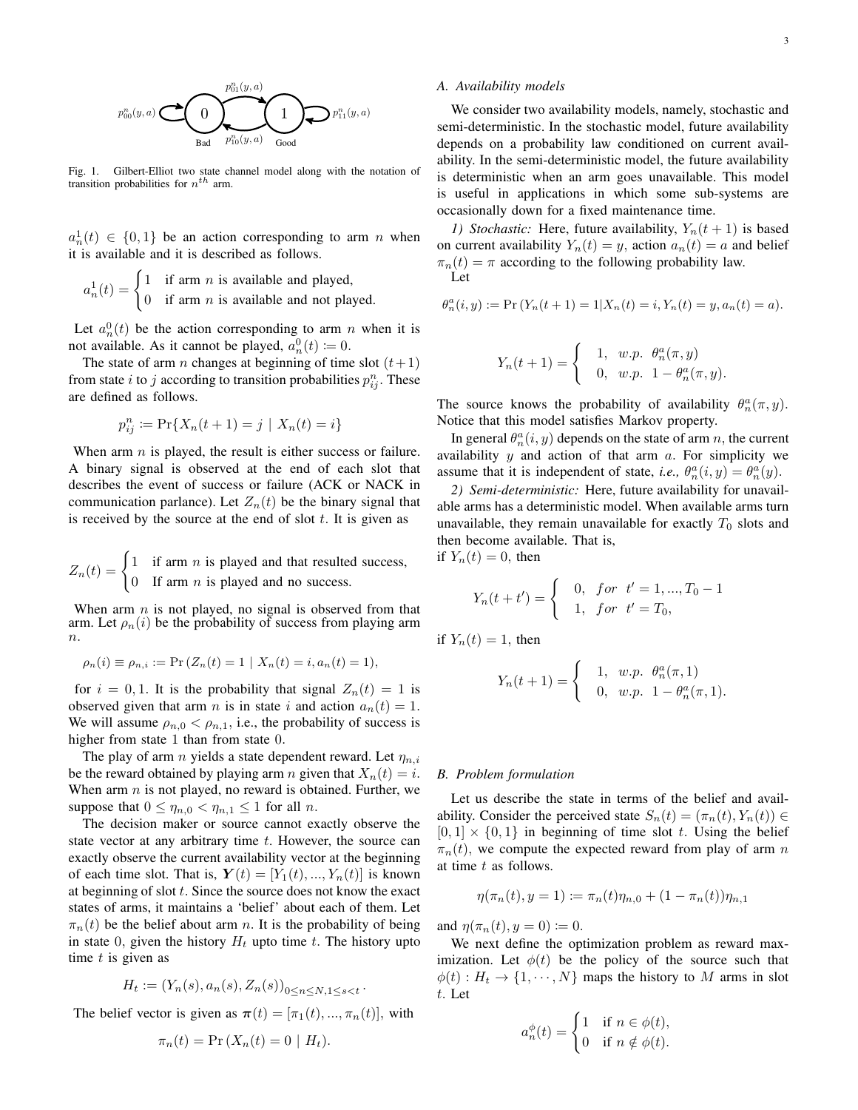

We consider two availability models, namely, stochastic and semi-deterministic. In the stochastic model, future availability depends on a probability law conditioned on current availability. In the semi-deterministic model, the future availability is deterministic when an arm goes unavailable. This model is useful in applications in which some sub-systems are occasionally down for a fixed maintenance time.

*1) Stochastic:* Here, future availability,  $Y_n(t+1)$  is based on current availability  $Y_n(t) = y$ , action  $a_n(t) = a$  and belief  $\pi_n(t) = \pi$  according to the following probability law. Let

$$
\theta_n^a(i, y) := \Pr(Y_n(t + 1) = 1 | X_n(t) = i, Y_n(t) = y, a_n(t) = a).
$$

$$
Y_n(t+1) = \begin{cases} 1, & w.p. \ \theta_n^a(\pi, y) \\ 0, & w.p. \ 1 - \theta_n^a(\pi, y). \end{cases}
$$

The source knows the probability of availability  $\theta_n^a(\pi, y)$ . Notice that this model satisfies Markov property.

In general  $\theta_n^a(i, y)$  depends on the state of arm n, the current availability  $y$  and action of that arm  $a$ . For simplicity we assume that it is independent of state, *i.e.*,  $\theta_n^a(i, y) = \theta_n^a(y)$ .

*2) Semi-deterministic:* Here, future availability for unavailable arms has a deterministic model. When available arms turn unavailable, they remain unavailable for exactly  $T_0$  slots and then become available. That is,

if  $Y_n(t) = 0$ , then

$$
Y_n(t+t') = \begin{cases} 0, & \text{for} \ \ t'=1,...,T_0-1 \\ 1, & \text{for} \ \ t'=T_0, \end{cases}
$$

if  $Y_n(t) = 1$ , then

$$
Y_n(t+1) = \begin{cases} 1, & w.p. \ \theta_n^a(\pi,1) \\ 0, & w.p. \ 1 - \theta_n^a(\pi,1). \end{cases}
$$

#### *B. Problem formulation*

Let us describe the state in terms of the belief and availability. Consider the perceived state  $S_n(t) = (\pi_n(t), Y_n(t)) \in$  $[0, 1] \times \{0, 1\}$  in beginning of time slot t. Using the belief  $\pi_n(t)$ , we compute the expected reward from play of arm n at time t as follows.

$$
\eta(\pi_n(t), y = 1) \coloneqq \pi_n(t)\eta_{n,0} + (1 - \pi_n(t))\eta_{n,1}
$$

and  $\eta(\pi_n(t), y = 0) := 0$ .

We next define the optimization problem as reward maximization. Let  $\phi(t)$  be the policy of the source such that  $\phi(t): H_t \to \{1, \dots, N\}$  maps the history to M arms in slot t. Let

$$
a_n^{\phi}(t) = \begin{cases} 1 & \text{if } n \in \phi(t), \\ 0 & \text{if } n \notin \phi(t). \end{cases}
$$

Fig. 1. Gilbert-Elliot two state channel model along with the notation of transition probabilities for  $n^{th}$  arm.

 $a_n^1(t) \in \{0,1\}$  be an action corresponding to arm n when it is available and it is described as follows.

$$
a_n1(t) = \begin{cases} 1 & \text{if arm } n \text{ is available and played,} \\ 0 & \text{if arm } n \text{ is available and not played.} \end{cases}
$$

Let  $a_n^0(t)$  be the action corresponding to arm n when it is not available. As it cannot be played,  $a_n^0(t) \coloneqq 0$ .

The state of arm *n* changes at beginning of time slot  $(t+1)$ from state *i* to *j* according to transition probabilities  $p_{ij}^n$ . These are defined as follows.

$$
p_{ij}^{n} := \Pr\{X_n(t+1) = j \mid X_n(t) = i\}
$$

When arm  $n$  is played, the result is either success or failure. A binary signal is observed at the end of each slot that describes the event of success or failure (ACK or NACK in communication parlance). Let  $Z_n(t)$  be the binary signal that is received by the source at the end of slot  $t$ . It is given as

$$
Z_n(t) = \begin{cases} 1 & \text{if arm } n \text{ is played and that resulted success,} \\ 0 & \text{If arm } n \text{ is played and no success.} \end{cases}
$$

When arm  $n$  is not played, no signal is observed from that arm. Let  $\rho_n(i)$  be the probability of success from playing arm  $n$ .

$$
\rho_n(i) \equiv \rho_{n,i} := \Pr(Z_n(t) = 1 \mid X_n(t) = i, a_n(t) = 1),
$$

for  $i = 0, 1$ . It is the probability that signal  $Z_n(t) = 1$  is observed given that arm *n* is in state *i* and action  $a_n(t) = 1$ . We will assume  $\rho_{n,0} < \rho_{n,1}$ , i.e., the probability of success is higher from state 1 than from state 0.

The play of arm *n* yields a state dependent reward. Let  $\eta_{n,i}$ be the reward obtained by playing arm *n* given that  $X_n(t) = i$ . When arm  $n$  is not played, no reward is obtained. Further, we suppose that  $0 \le \eta_{n,0} < \eta_{n,1} \le 1$  for all n.

The decision maker or source cannot exactly observe the state vector at any arbitrary time  $t$ . However, the source can exactly observe the current availability vector at the beginning of each time slot. That is,  $\mathbf{Y}(t) = [Y_1(t), ..., Y_n(t)]$  is known at beginning of slot  $t$ . Since the source does not know the exact states of arms, it maintains a 'belief' about each of them. Let  $\pi_n(t)$  be the belief about arm n. It is the probability of being in state 0, given the history  $H_t$  upto time t. The history upto time  $t$  is given as

$$
H_t := (Y_n(s), a_n(s), Z_n(s))_{0 \le n \le N, 1 \le s < t}.
$$

The belief vector is given as  $\pi(t) = [\pi_1(t), ..., \pi_n(t)],$  with

$$
\pi_n(t) = \Pr(X_n(t) = 0 \mid H_t).
$$



3

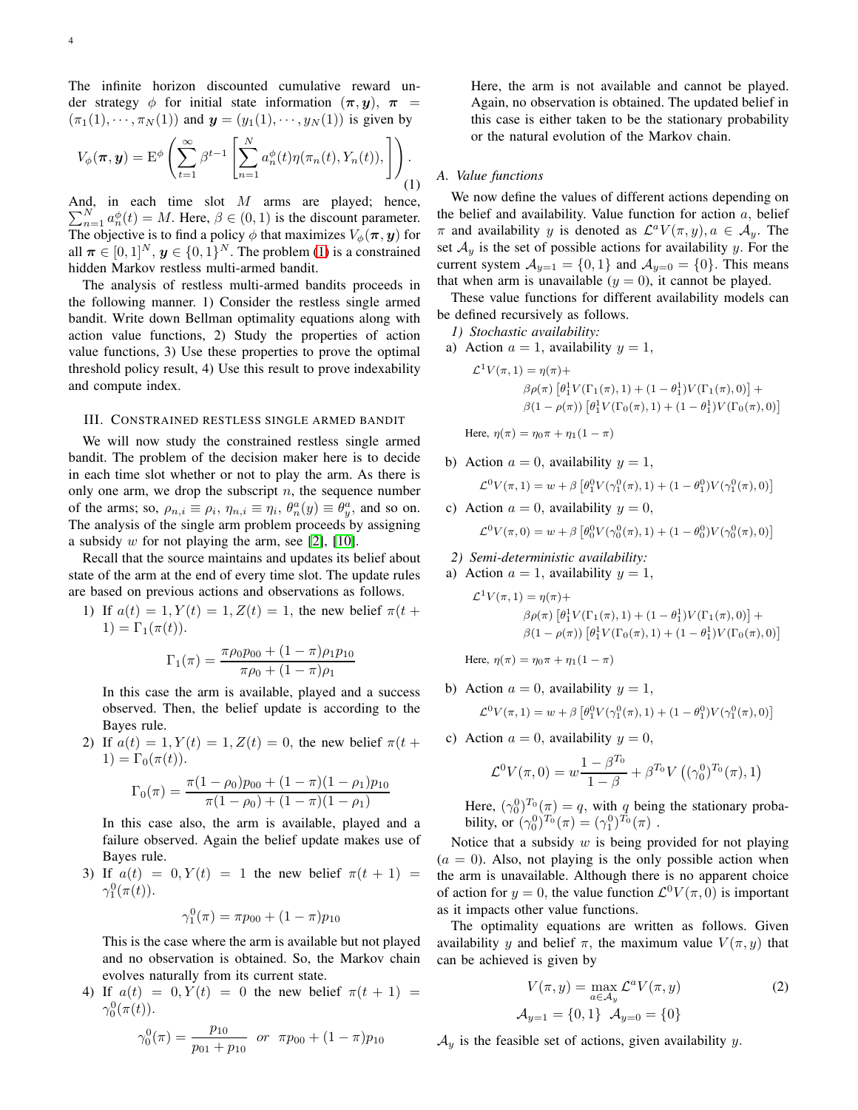The infinite horizon discounted cumulative reward under strategy φ for initial state information  $(\pi, y)$ ,  $\pi$  =  $(\pi_1(1), \cdots, \pi_N(1))$  and  $y = (y_1(1), \cdots, y_N(1))$  is given by

<span id="page-3-1"></span>
$$
V_{\phi}(\boldsymbol{\pi}, \boldsymbol{y}) = \mathbf{E}^{\phi}\left(\sum_{t=1}^{\infty} \beta^{t-1} \left[\sum_{n=1}^{N} a_n^{\phi}(t) \eta(\pi_n(t), Y_n(t)), \right] \right).
$$
\n(1)

And, in each time slot M arms are played; hence,  $\sum_{n=1}^{N} a_n^{\phi}(t) = M$ . Here,  $\beta \in (0, 1)$  is the discount parameter. The objective is to find a policy  $\phi$  that maximizes  $V_{\phi}(\pi, y)$  for all  $\boldsymbol{\pi} \in [0,1]^N$ ,  $\boldsymbol{y} \in \{0,1\}^N$ . The problem [\(1\)](#page-3-1) is a constrained hidden Markov restless multi-armed bandit.

The analysis of restless multi-armed bandits proceeds in the following manner. 1) Consider the restless single armed bandit. Write down Bellman optimality equations along with action value functions, 2) Study the properties of action value functions, 3) Use these properties to prove the optimal threshold policy result, 4) Use this result to prove indexability and compute index.

#### <span id="page-3-0"></span>III. CONSTRAINED RESTLESS SINGLE ARMED BANDIT

We will now study the constrained restless single armed bandit. The problem of the decision maker here is to decide in each time slot whether or not to play the arm. As there is only one arm, we drop the subscript  $n$ , the sequence number of the arms; so,  $\rho_{n,i} \equiv \rho_i$ ,  $\eta_{n,i} \equiv \eta_i$ ,  $\theta_n^a(y) \equiv \theta_y^a$ , and so on. The analysis of the single arm problem proceeds by assigning a subsidy  $w$  for not playing the arm, see [\[2\]](#page-9-8), [\[10\]](#page-9-4).

Recall that the source maintains and updates its belief about state of the arm at the end of every time slot. The update rules are based on previous actions and observations as follows.

1) If  $a(t) = 1, Y(t) = 1, Z(t) = 1$ , the new belief  $\pi(t +$  $1) = \Gamma_1(\pi(t)).$ 

$$
\Gamma_1(\pi) = \frac{\pi \rho_0 p_{00} + (1 - \pi) \rho_1 p_{10}}{\pi \rho_0 + (1 - \pi) \rho_1}
$$

In this case the arm is available, played and a success observed. Then, the belief update is according to the Bayes rule.

2) If  $a(t) = 1, Y(t) = 1, Z(t) = 0$ , the new belief  $\pi(t +$  $1) = \Gamma_0(\pi(t)).$ 

$$
\Gamma_0(\pi) = \frac{\pi (1 - \rho_0) p_{00} + (1 - \pi)(1 - \rho_1) p_{10}}{\pi (1 - \rho_0) + (1 - \pi)(1 - \rho_1)}
$$

In this case also, the arm is available, played and a failure observed. Again the belief update makes use of Bayes rule.

3) If  $a(t) = 0, Y(t) = 1$  the new belief  $\pi(t + 1) =$  $\gamma_1^0(\pi(t)).$ 

$$
\gamma_1^0(\pi) = \pi p_{00} + (1 - \pi) p_{10}
$$

This is the case where the arm is available but not played and no observation is obtained. So, the Markov chain evolves naturally from its current state.

4) If  $a(t) = 0, Y(t) = 0$  the new belief  $\pi(t + 1) =$  $\gamma_0^0(\pi(t)).$ 

$$
\gamma_0^0(\pi) = \frac{p_{10}}{p_{01} + p_{10}} \quad \text{or} \quad \pi p_{00} + (1 - \pi) p_{10}
$$

Here, the arm is not available and cannot be played. Again, no observation is obtained. The updated belief in this case is either taken to be the stationary probability or the natural evolution of the Markov chain.

# *A. Value functions*

We now define the values of different actions depending on the belief and availability. Value function for action  $a$ , belief  $\pi$  and availability y is denoted as  $\mathcal{L}^a V(\pi, y), a \in \mathcal{A}_y$ . The set  $A_y$  is the set of possible actions for availability y. For the current system  $\mathcal{A}_{y=1} = \{0,1\}$  and  $\mathcal{A}_{y=0} = \{0\}$ . This means that when arm is unavailable  $(y = 0)$ , it cannot be played.

These value functions for different availability models can be defined recursively as follows.

*1) Stochastic availability:*

a) Action  $a = 1$ , availability  $y = 1$ ,

$$
\mathcal{L}^{1}V(\pi, 1) = \eta(\pi) +
$$
  
\n
$$
\beta \rho(\pi) \left[ \theta_{1}^{1}V(\Gamma_{1}(\pi), 1) + (1 - \theta_{1}^{1})V(\Gamma_{1}(\pi), 0) \right] +
$$
  
\n
$$
\beta(1 - \rho(\pi)) \left[ \theta_{1}^{1}V(\Gamma_{0}(\pi), 1) + (1 - \theta_{1}^{1})V(\Gamma_{0}(\pi), 0) \right]
$$

Here,  $\eta(\pi) = \eta_0 \pi + \eta_1(1 - \pi)$ 

b) Action 
$$
a = 0
$$
, availability  $y = 1$ ,

$$
\mathcal{L}^{0}V(\pi, 1) = w + \beta \left[ \theta_{1}^{0}V(\gamma_{1}^{0}(\pi), 1) + (1 - \theta_{1}^{0})V(\gamma_{1}^{0}(\pi), 0) \right]
$$

- c) Action  $a = 0$ , availability  $y = 0$ ,  $\mathcal{L}^0 V(\pi,0) = w + \beta \left[ \theta_0^0 V(\gamma_0^0(\pi),1) + (1-\theta_0^0) V(\gamma_0^0(\pi),0) \right]$
- *2) Semi-deterministic availability:*
- a) Action  $a = 1$ , availability  $y = 1$ ,

$$
\mathcal{L}^{1}V(\pi, 1) = \eta(\pi) +
$$
  
\n
$$
\beta \rho(\pi) \left[ \theta_{1}^{1}V(\Gamma_{1}(\pi), 1) + (1 - \theta_{1}^{1})V(\Gamma_{1}(\pi), 0) \right] +
$$
  
\n
$$
\beta(1 - \rho(\pi)) \left[ \theta_{1}^{1}V(\Gamma_{0}(\pi), 1) + (1 - \theta_{1}^{1})V(\Gamma_{0}(\pi), 0) \right]
$$

Here,  $\eta(\pi) = \eta_0 \pi + \eta_1(1 - \pi)$ 

b) Action  $a = 0$ , availability  $y = 1$ ,

$$
\mathcal{L}^{0}V(\pi,1) = w + \beta \left[\theta_1^{0}V(\gamma_1^{0}(\pi),1) + (1-\theta_1^{0})V(\gamma_1^{0}(\pi),0)\right]
$$

c) Action  $a = 0$ , availability  $y = 0$ ,

$$
\mathcal{L}^{0}V(\pi,0) = w \frac{1 - \beta^{T_0}}{1 - \beta} + \beta^{T_0}V((\gamma_0^0)^{T_0}(\pi),1)
$$

Here,  $(\gamma_0^0)^{T_0}(\pi) = q$ , with q being the stationary probability, or  $(\gamma_0^0)^{T_0}(\pi) = (\gamma_1^0)^{T_0}(\pi)$ .

Notice that a subsidy  $w$  is being provided for not playing  $(a = 0)$ . Also, not playing is the only possible action when the arm is unavailable. Although there is no apparent choice of action for  $y = 0$ , the value function  $\mathcal{L}^0 V(\pi, 0)$  is important as it impacts other value functions.

The optimality equations are written as follows. Given availability y and belief  $\pi$ , the maximum value  $V(\pi, y)$  that can be achieved is given by

$$
V(\pi, y) = \max_{a \in A_y} \mathcal{L}^a V(\pi, y)
$$
  

$$
\mathcal{A}_{y=1} = \{0, 1\} \quad \mathcal{A}_{y=0} = \{0\}
$$
 (2)

 $\mathcal{A}_{y}$  is the feasible set of actions, given availability y.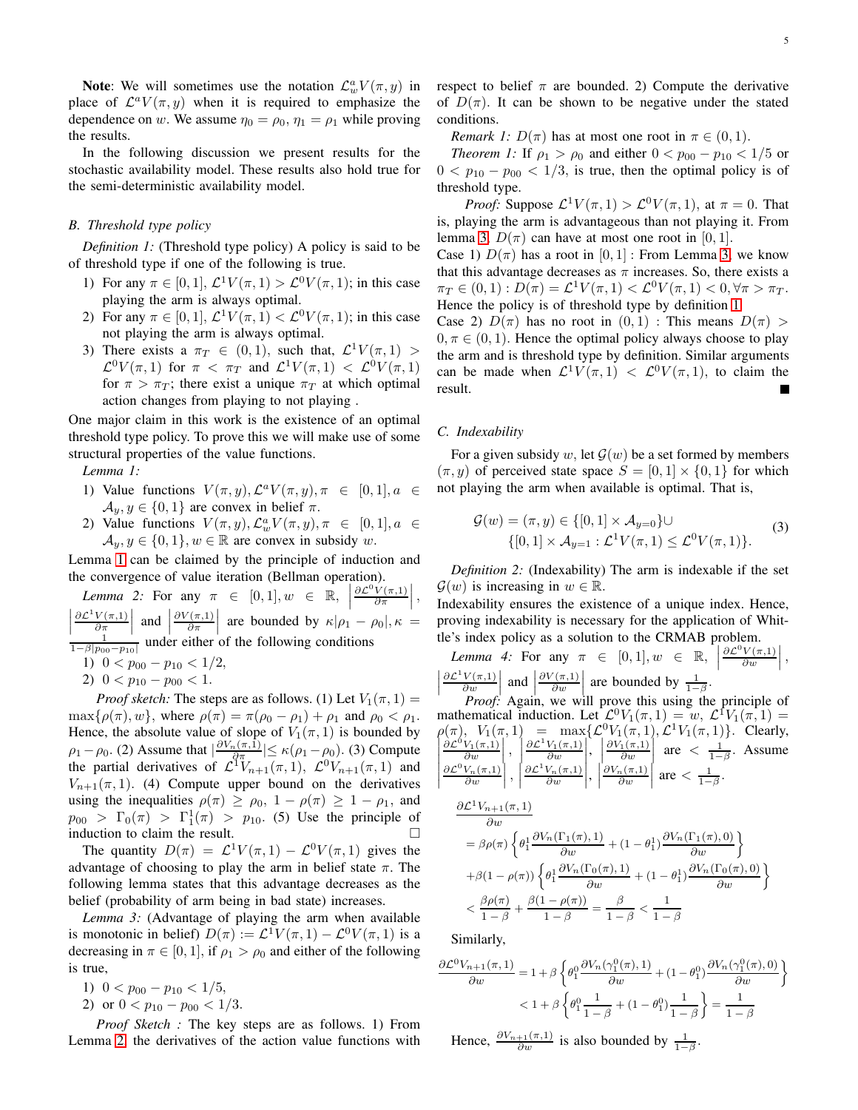**Note:** We will sometimes use the notation  $\mathcal{L}^a_w V(\pi, y)$  in place of  $\mathcal{L}^a V(\pi, y)$  when it is required to emphasize the dependence on w. We assume  $\eta_0 = \rho_0$ ,  $\eta_1 = \rho_1$  while proving the results.

In the following discussion we present results for the stochastic availability model. These results also hold true for the semi-deterministic availability model.

# *B. Threshold type policy*

*Definition 1:* (Threshold type policy) A policy is said to be of threshold type if one of the following is true.

- 1) For any  $\pi \in [0,1], \mathcal{L}^1 V(\pi,1) > \mathcal{L}^0 V(\pi,1);$  in this case playing the arm is always optimal.
- 2) For any  $\pi \in [0, 1]$ ,  $\mathcal{L}^1 V(\pi, 1) < \mathcal{L}^0 V(\pi, 1)$ ; in this case not playing the arm is always optimal.
- <span id="page-4-3"></span>3) There exists a  $\pi_T \in (0,1)$ , such that,  $\mathcal{L}^1 V(\pi,1)$  >  $\mathcal{L}^0 V(\pi,1)$  for  $\pi < \pi_T$  and  $\mathcal{L}^1 V(\pi,1) < \mathcal{L}^0 V(\pi,1)$ for  $\pi > \pi_T$ ; there exist a unique  $\pi_T$  at which optimal action changes from playing to not playing .

One major claim in this work is the existence of an optimal threshold type policy. To prove this we will make use of some structural properties of the value functions.

*Lemma 1:*

- 1) Value functions  $V(\pi, y), \mathcal{L}^a V(\pi, y), \pi \in [0, 1], a \in$  $\mathcal{A}_y, y \in \{0, 1\}$  are convex in belief  $\pi$ .
- <span id="page-4-0"></span>2) Value functions  $V(\pi, y), \mathcal{L}_w^a V(\pi, y), \pi \in [0, 1], a \in$  $\mathcal{A}_y, y \in \{0, 1\}, w \in \mathbb{R}$  are convex in subsidy w.

Lemma [1](#page-4-0) can be claimed by the principle of induction and the convergence of value iteration (Bellman operation).

*Lemma* 2: For any  $\pi \in [0, 1], w \in \mathbb{R}$ ,  $\partial \mathcal{L}^0 V(\pi,1)$  $\frac{V(\pi,1)}{\partial \pi}\bigg|$ ,  $\partial \mathcal{L}^1 V(\pi,1)$  $\left|\frac{\partial P}{\partial \pi}\right|$  and  $\left|\frac{\partial P}{\partial \pi}\right|$  are bounded by  $\kappa|\rho_1 - \rho_2|$ <br> $\frac{1}{1-\beta|p_{00}-p_{10}|}$  under either of the following conditions  $\frac{V(\pi,1)}{\partial \pi}$  and  $\begin{vmatrix} 1 \end{vmatrix}$  $\partial V(\pi,1)$  $\left|\frac{\partial \Gamma(\pi,1)}{\partial \pi}\right|$  are bounded by  $\kappa|\rho_1-\rho_0|, \kappa =$ 1)  $0 < p_{00} - p_{10} < 1/2$ ,

<span id="page-4-1"></span>2)  $0 < p_{10} - p_{00} < 1$ .

*Proof sketch:* The steps are as follows. (1) Let  $V_1(\pi, 1)$  =  $\max\{\rho(\pi), w\}$ , where  $\rho(\pi) = \pi(\rho_0 - \rho_1) + \rho_1$  and  $\rho_0 < \rho_1$ . Hence, the absolute value of slope of  $V_1(\pi, 1)$  is bounded by  $\rho_1 - \rho_0$ . (2) Assume that  $\left| \frac{\partial V_n(\pi,1)}{\partial \pi} \right| \le \kappa (\rho_1 - \rho_0)$ . (3) Compute the partial derivatives of  $\mathcal{L}^1 V_{n+1}(\pi,1)$ ,  $\mathcal{L}^0 V_{n+1}(\pi,1)$  and  $V_{n+1}(\pi, 1)$ . (4) Compute upper bound on the derivatives using the inequalities  $\rho(\pi) \ge \rho_0$ ,  $1 - \rho(\pi) \ge 1 - \rho_1$ , and  $p_{00} > \Gamma_0(\pi) > \Gamma_1^1(\pi) > p_{10}$ . (5) Use the principle of induction to claim the result.

The quantity  $D(\pi) = \mathcal{L}^1 V(\pi, 1) - \mathcal{L}^0 V(\pi, 1)$  gives the advantage of choosing to play the arm in belief state  $\pi$ . The following lemma states that this advantage decreases as the belief (probability of arm being in bad state) increases.

*Lemma 3:* (Advantage of playing the arm when available is monotonic in belief)  $D(\pi) := \mathcal{L}^1 V(\pi, 1) - \mathcal{L}^0 V(\pi, 1)$  is a decreasing in  $\pi \in [0, 1]$ , if  $\rho_1 > \rho_0$  and either of the following is true,

<span id="page-4-2"></span>1)  $0 < p_{00} - p_{10} < 1/5$ ,

2) or  $0 < p_{10} - p_{00} < 1/3$ .

*Proof Sketch :* The key steps are as follows. 1) From Lemma [2,](#page-4-1) the derivatives of the action value functions with respect to belief  $\pi$  are bounded. 2) Compute the derivative of  $D(\pi)$ . It can be shown to be negative under the stated conditions.

*Remark 1:*  $D(\pi)$  has at most one root in  $\pi \in (0,1)$ .

*Theorem 1:* If  $\rho_1 > \rho_0$  and either  $0 < p_{00} - p_{10} < 1/5$  or  $0 < p_{10} - p_{00} < 1/3$ , is true, then the optimal policy is of threshold type.

*Proof:* Suppose  $\mathcal{L}^1 V(\pi, 1) > \mathcal{L}^0 V(\pi, 1)$ , at  $\pi = 0$ . That is, playing the arm is advantageous than not playing it. From lemma [3,](#page-4-2)  $D(\pi)$  can have at most one root in [0, 1].

Case 1)  $D(\pi)$  has a root in [0, 1] : From Lemma [3,](#page-4-2) we know that this advantage decreases as  $\pi$  increases. So, there exists a  $\pi_T \in (0,1): D(\pi) = \mathcal{L}^1 V(\pi,1) < \mathcal{L}^0 V(\pi,1) < 0, \forall \pi > \pi_T.$ Hence the policy is of threshold type by definition [1.](#page-4-3)

Case 2)  $D(\pi)$  has no root in  $(0, 1)$ : This means  $D(\pi)$  $0, \pi \in (0, 1)$ . Hence the optimal policy always choose to play the arm and is threshold type by definition. Similar arguments can be made when  $\mathcal{L}^1 V(\pi,1) < \mathcal{L}^0 V(\pi,1)$ , to claim the result.

#### *C. Indexability*

For a given subsidy w, let  $\mathcal{G}(w)$  be a set formed by members  $(\pi, y)$  of perceived state space  $S = [0, 1] \times \{0, 1\}$  for which not playing the arm when available is optimal. That is,

$$
\mathcal{G}(w) = (\pi, y) \in \{ [0, 1] \times \mathcal{A}_{y=0} \} \cup \{ [0, 1] \times \mathcal{A}_{y=1} : \mathcal{L}^{1}V(\pi, 1) \le \mathcal{L}^{0}V(\pi, 1) \}.
$$
\n(3)

*Definition 2:* (Indexability) The arm is indexable if the set  $\mathcal{G}(w)$  is increasing in  $w \in \mathbb{R}$ .

Indexability ensures the existence of a unique index. Hence, proving indexability is necessary for the application of Whittle's index policy as a solution to the CRMAB problem.

<span id="page-4-4"></span>*Lemma 4:* For any  $\pi \in [0,1], w \in \mathbb{R}, \left[\frac{\partial \mathcal{L}^0 V(\pi,1)}{\partial w}\right]$  $\left|\frac{\partial \mathcal{L}^1 V(\pi,1)}{\partial w}\right|$  and  $\left|\frac{\partial V(\pi,1)}{\partial w}\right|$  are bounded by  $\frac{1}{1-\beta}$ .  $\frac{V(\pi,1)}{\partial w}\bigg|,$  $\partial \mathcal{L}^1 V(\pi,1)$  $\frac{V(\pi,1)}{\partial w}$  and  $\begin{vmatrix} \frac{\partial w}{\partial n} & \frac{\partial w}{\partial n} \\ \frac{\partial w}{\partial n} & \frac{\partial w}{\partial n} \end{vmatrix}$  $\partial V(\pi,1)$  $\left[\begin{array}{c} \frac{\gamma(\pi,1)}{\partial w} \end{array}\right]$  are bounded by  $\frac{1}{1-\beta}$ .

*Proof:* Again, we will prove this using the principle of mathematical induction. Let  $\mathcal{L}^0 V_1(\pi,1) = w$ ,  $\mathcal{L}^{\text{T}} V_1(\pi,1) = w$  $\rho(\pi)$ ,  $V_1(\pi,1)$  = max $\{\mathcal{L}^0 V_1(\pi,1), \mathcal{L}^1 V_1(\pi,1)\}.$  Clearly,  $\overline{\phantom{a}}$  $\overline{\phantom{a}}$  $\overline{\phantom{a}}$  $\frac{\partial \mathcal{L}^0 V_1(\pi,1)}{\partial w}\Big|$ ∂w  $\Big\vert \, ,$  $\overline{\phantom{a}}$  $\overline{\phantom{a}}$  $\int_0^{C} \frac{\partial w}{\partial \mathcal{L}^1 V_n(\pi,1)}$  $\partial \mathcal{L}^1 V_1(\pi,1)$ ∂w  $\overline{\phantom{a}}$  $\overline{\phantom{a}}$  $\Big\}$  $\left|\frac{\partial V_1(\pi,1)}{\partial w}\right|$  are  $\left|\frac{1}{1-\beta}\right|$ . Assume  $\vert$  $\overline{\phantom{a}}$  $\overline{\phantom{a}}$  $\overline{\phantom{a}}$  $\partial \mathcal{L}^0 V_n(\pi,1)$ ∂w ľ  $\overline{\phantom{a}}$  ,  $\overline{\phantom{a}}$  $\overline{a}$ ∂w  $\overline{\phantom{a}}$  $\overline{\phantom{a}}$  $\vert \cdot$  $\frac{\partial V_n(\pi,1)}{\partial w}$  are  $\langle \frac{1}{1-\beta}.$ 

$$
\frac{\partial \mathcal{L}^1 V_{n+1}(\pi,1)}{\partial w}
$$
\n
$$
= \beta \rho(\pi) \left\{ \theta_1^1 \frac{\partial V_n(\Gamma_1(\pi),1)}{\partial w} + (1 - \theta_1^1) \frac{\partial V_n(\Gamma_1(\pi),0)}{\partial w} \right\}
$$
\n
$$
+ \beta(1 - \rho(\pi)) \left\{ \theta_1^1 \frac{\partial V_n(\Gamma_0(\pi),1)}{\partial w} + (1 - \theta_1^1) \frac{\partial V_n(\Gamma_0(\pi),0)}{\partial w} \right\}
$$
\n
$$
< \frac{\beta \rho(\pi)}{1 - \beta} + \frac{\beta(1 - \rho(\pi))}{1 - \beta} = \frac{\beta}{1 - \beta} < \frac{1}{1 - \beta}
$$

Similarly,

$$
\frac{\partial \mathcal{L}^0 V_{n+1}(\pi,1)}{\partial w} = 1 + \beta \left\{ \theta_1^0 \frac{\partial V_n(\gamma_1^0(\pi),1)}{\partial w} + (1 - \theta_1^0) \frac{\partial V_n(\gamma_1^0(\pi),0)}{\partial w} \right\}
$$

$$
< 1 + \beta \left\{ \theta_1^0 \frac{1}{1-\beta} + (1 - \theta_1^0) \frac{1}{1-\beta} \right\} = \frac{1}{1-\beta}
$$

Hence,  $\frac{\partial V_{n+1}(\pi,1)}{\partial w}$  is also bounded by  $\frac{1}{1-\beta}$ .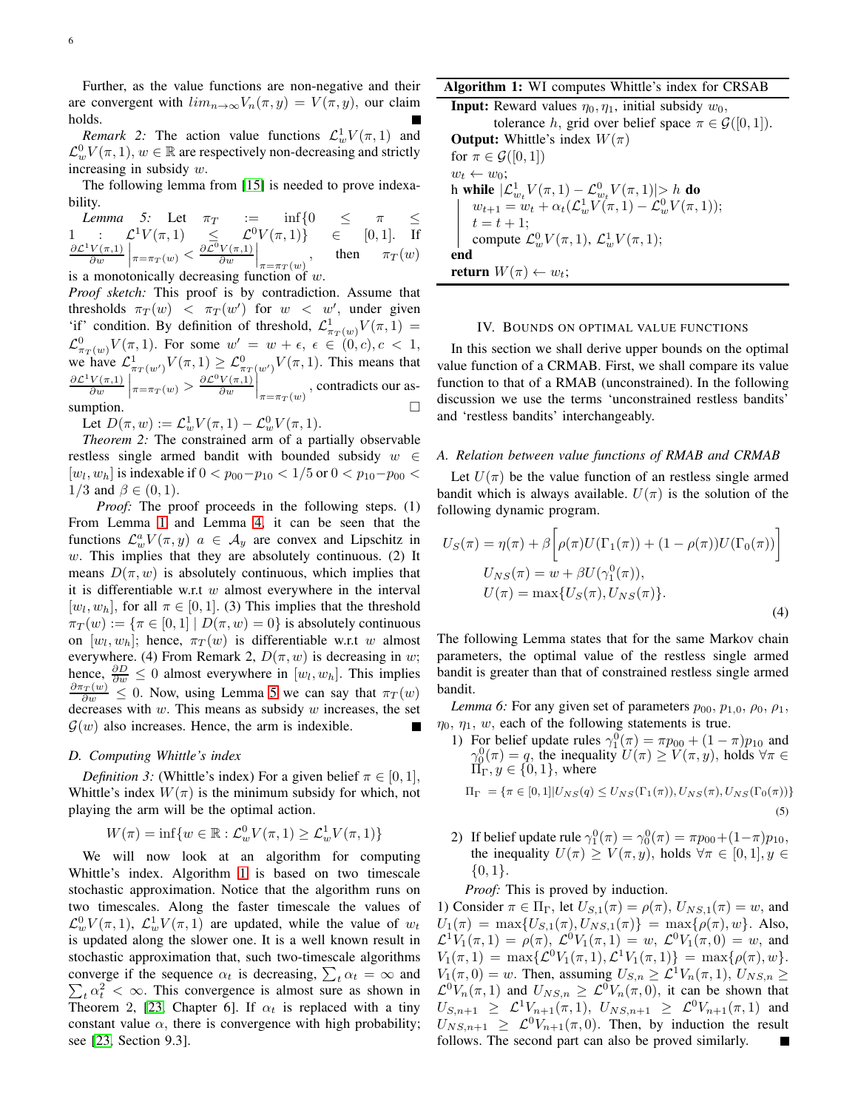Further, as the value functions are non-negative and their are convergent with  $\lim_{n\to\infty}V_n(\pi, y) = V(\pi, y)$ , our claim holds.

*Remark* 2: The action value functions  $\mathcal{L}_{w}^1 V(\pi, 1)$  and  $\mathcal{L}_{w}^{0}V(\pi,1), w \in \mathbb{R}$  are respectively non-decreasing and strictly increasing in subsidy  $w$ .

<span id="page-5-1"></span>The following lemma from [\[15\]](#page-9-12) is needed to prove indexability.

*Lemma 5:* Let  $\pi_T$  := inf{0  $\leq$   $\pi$   $\leq$ 1 :  $\mathcal{L}^1 V(\pi,1) \leq \mathcal{L}^0 V(\pi,1) \in [0,1].$  If  $\partial \mathcal{L}^1 V(\pi,1)$  $\frac{V(\pi,1)}{\partial w}\bigg|_{\pi=\pi_T(w)} < \frac{\partial \mathcal{L}^0 V(\pi,1)}{\partial w}$  $\frac{V(\pi,1)}{\partial w}\bigg|_{\pi=\pi_T(w)}$ then  $\pi_T(w)$ is a monotonically decreasing function of  $w$ .

*Proof sketch:* This proof is by contradiction. Assume that thresholds  $\pi_T(w)$  <  $\pi_T(w')$  for  $w$  < w', under given 'if' condition. By definition of threshold,  $\mathcal{L}^1_{\pi_T(w)}V(\pi,1)$  =  $\mathcal{L}^0_{\pi_T(w)}V(\pi,1)$ . For some  $w' = w + \epsilon, \epsilon \in (0,c), c < 1$ , we have  $\mathcal{L}^1_{\pi_T(w')}V(\pi,1) \geq \mathcal{L}^0_{\pi_T(w')}V(\pi,1)$ . This means that  $\partial \mathcal{L}^1 V(\pi,1)$  $\frac{V(\pi,1)}{\partial w}\bigg|_{\pi=\pi_T(w)} > \frac{\partial \mathcal{L}^0 V(\pi,1)}{\partial w}$  $\frac{V(\pi,1)}{\partial w}\Big|_{\pi=\pi_T(w)}$ , contradicts our assumption.  $\square$ 

Let  $D(\pi, w) := \mathcal{L}_{w}^{1} V(\pi, 1) - \mathcal{L}_{w}^{0} V(\pi, 1)$ .

*Theorem 2:* The constrained arm of a partially observable restless single armed bandit with bounded subsidy  $w \in$  $[w_l, w_h]$  is indexable if  $0 < p_{00} - p_{10} < 1/5$  or  $0 < p_{10} - p_{00} <$  $1/3$  and  $\beta \in (0, 1)$ .

*Proof:* The proof proceeds in the following steps. (1) From Lemma [1](#page-4-0) and Lemma [4,](#page-4-4) it can be seen that the functions  $\mathcal{L}_{w}^{a}V(\pi, y)$   $a \in \mathcal{A}_{y}$  are convex and Lipschitz in  $w$ . This implies that they are absolutely continuous. (2) It means  $D(\pi, w)$  is absolutely continuous, which implies that it is differentiable w.r.t  $w$  almost everywhere in the interval  $[w_l, w_h]$ , for all  $\pi \in [0, 1]$ . (3) This implies that the threshold  $\pi_T(w) := {\pi \in [0,1] | D(\pi,w) = 0}$  is absolutely continuous on  $[w_l, w_h]$ ; hence,  $\pi_T(w)$  is differentiable w.r.t w almost everywhere. (4) From Remark 2,  $D(\pi, w)$  is decreasing in w; hence,  $\frac{\partial D}{\partial w} \leq 0$  almost everywhere in  $[w_l, w_h]$ . This implies  $\frac{\partial \pi_T(w)}{\partial w} \leq 0$ . Now, using Lemma [5](#page-5-1) we can say that  $\pi_T(w)$ decreases with  $w$ . This means as subsidy  $w$  increases, the set  $G(w)$  also increases. Hence, the arm is indexible.

# *D. Computing Whittle's index*

*Definition 3:* (Whittle's index) For a given belief  $\pi \in [0, 1]$ , Whittle's index  $W(\pi)$  is the minimum subsidy for which, not playing the arm will be the optimal action.

$$
W(\pi) = \inf \{ w \in \mathbb{R} : \mathcal{L}_w^0 V(\pi, 1) \ge \mathcal{L}_w^1 V(\pi, 1) \}
$$

We will now look at an algorithm for computing Whittle's index. Algorithm [1](#page-5-2) is based on two timescale stochastic approximation. Notice that the algorithm runs on two timescales. Along the faster timescale the values of  $\mathcal{L}_{w}^{0}V(\pi,1), \mathcal{L}_{w}^{1}V(\pi,1)$  are updated, while the value of  $w_t$ is updated along the slower one. It is a well known result in stochastic approximation that, such two-timescale algorithms converge if the sequence  $\alpha_t$  is decreasing,  $\sum_t \alpha_t = \infty$  and converge if the sequence  $\alpha_t$  is decreasing,  $\sum_t \alpha_t = \infty$  and  $\sum_t \alpha_t^2 < \infty$ . This convergence is almost sure as shown in Theorem 2, [\[23,](#page-9-21) Chapter 6]. If  $\alpha_t$  is replaced with a tiny constant value  $\alpha$ , there is convergence with high probability; see [\[23,](#page-9-21) Section 9.3].

# Algorithm 1: WI computes Whittle's index for CRSAB

**Input:** Reward values  $\eta_0, \eta_1$ , initial subsidy  $w_0$ , tolerance h, grid over belief space  $\pi \in \mathcal{G}([0,1]).$ **Output:** Whittle's index  $W(\pi)$ for  $\pi \in \mathcal{G}([0,1])$  $w_t \leftarrow w_0$ ; h while  $|\mathcal{L}_{w_t}^1 V(\pi,1) - \mathcal{L}_{w_t}^0 V(\pi,1)|$   $\geq h$  do  $w_{t+1} = w_t + \alpha_t ( \mathcal{L}_w^1 V(\pi, 1) - \mathcal{L}_w^0 V(\pi, 1));$  $t = t + 1$ ; compute  $\mathcal{L}_{w}^{0}V(\pi,1), \mathcal{L}_{w}^{1}V(\pi,1);$ end return  $W(\pi) \leftarrow w_t$ ;

#### <span id="page-5-2"></span><span id="page-5-0"></span>IV. BOUNDS ON OPTIMAL VALUE FUNCTIONS

In this section we shall derive upper bounds on the optimal value function of a CRMAB. First, we shall compare its value function to that of a RMAB (unconstrained). In the following discussion we use the terms 'unconstrained restless bandits' and 'restless bandits' interchangeably.

# *A. Relation between value functions of RMAB and CRMAB*

Let  $U(\pi)$  be the value function of an restless single armed bandit which is always available.  $U(\pi)$  is the solution of the following dynamic program.

$$
U_S(\pi) = \eta(\pi) + \beta \left[ \rho(\pi) U(\Gamma_1(\pi)) + (1 - \rho(\pi)) U(\Gamma_0(\pi)) \right]
$$
  
\n
$$
U_{NS}(\pi) = w + \beta U(\gamma_1^0(\pi)),
$$
  
\n
$$
U(\pi) = \max \{ U_S(\pi), U_{NS}(\pi) \}.
$$
  
\n(4)

The following Lemma states that for the same Markov chain parameters, the optimal value of the restless single armed bandit is greater than that of constrained restless single armed bandit.

<span id="page-5-3"></span>*Lemma 6:* For any given set of parameters  $p_{00}$ ,  $p_{1,0}$ ,  $\rho_0$ ,  $\rho_1$ ,  $\eta_0$ ,  $\eta_1$ , w, each of the following statements is true.

1) For belief update rules  $\gamma_1^0(\pi) = \pi p_{00} + (1 - \pi) p_{10}$  and  $\gamma_0^0(\pi) = q$ , the inequality  $U(\pi) \ge V(\pi, y)$ , holds  $\forall \pi \in$  $\Pi_{\Gamma}$ ,  $y \in \{0, 1\}$ , where

$$
\Pi_{\Gamma} = \{ \pi \in [0,1] | U_{NS}(q) \leq U_{NS}(\Gamma_1(\pi)), U_{NS}(\pi), U_{NS}(\Gamma_0(\pi)) \}
$$
\n(5)

2) If belief update rule  $\gamma_1^0(\pi) = \gamma_0^0(\pi) = \pi p_{00} + (1-\pi)p_{10}$ , the inequality  $U(\pi) \geq V(\pi, y)$ , holds  $\forall \pi \in [0, 1], y \in$  $\{0, 1\}.$ 

# *Proof:* This is proved by induction.

1) Consider  $\pi \in \Pi_{\Gamma}$ , let  $U_{S,1}(\pi) = \rho(\pi)$ ,  $U_{NS,1}(\pi) = w$ , and  $U_1(\pi) = \max\{U_{S,1}(\pi), U_{NS,1}(\pi)\} = \max\{\rho(\pi), w\}.$  Also,  $\mathcal{L}^1 V_1(\pi,1) = \rho(\pi), \ \mathcal{L}^0 V_1(\pi,1) = w, \ \mathcal{L}^0 V_1(\pi,0) = w,$  and  $V_1(\pi, 1) = \max\{\mathcal{L}^0 V_1(\pi, 1), \mathcal{L}^1 V_1(\pi, 1)\} = \max\{\rho(\pi), w\}.$  $V_1(\pi, 0) = w$ . Then, assuming  $U_{S,n} \geq \mathcal{L}^1 V_n(\pi, 1), U_{NS,n} \geq$  $\mathcal{L}^0 V_n(\pi,1)$  and  $U_{NS,n} \geq \mathcal{L}^0 V_n(\pi,0)$ , it can be shown that  $U_{S,n+1} \geq \mathcal{L}^1 V_{n+1}(\pi,1), \ U_{NS,n+1} \geq \mathcal{L}^0 V_{n+1}(\pi,1)$  and  $U_{NS,n+1} \geq \mathcal{L}^0 V_{n+1}(\pi,0)$ . Then, by induction the result follows. The second part can also be proved similarly.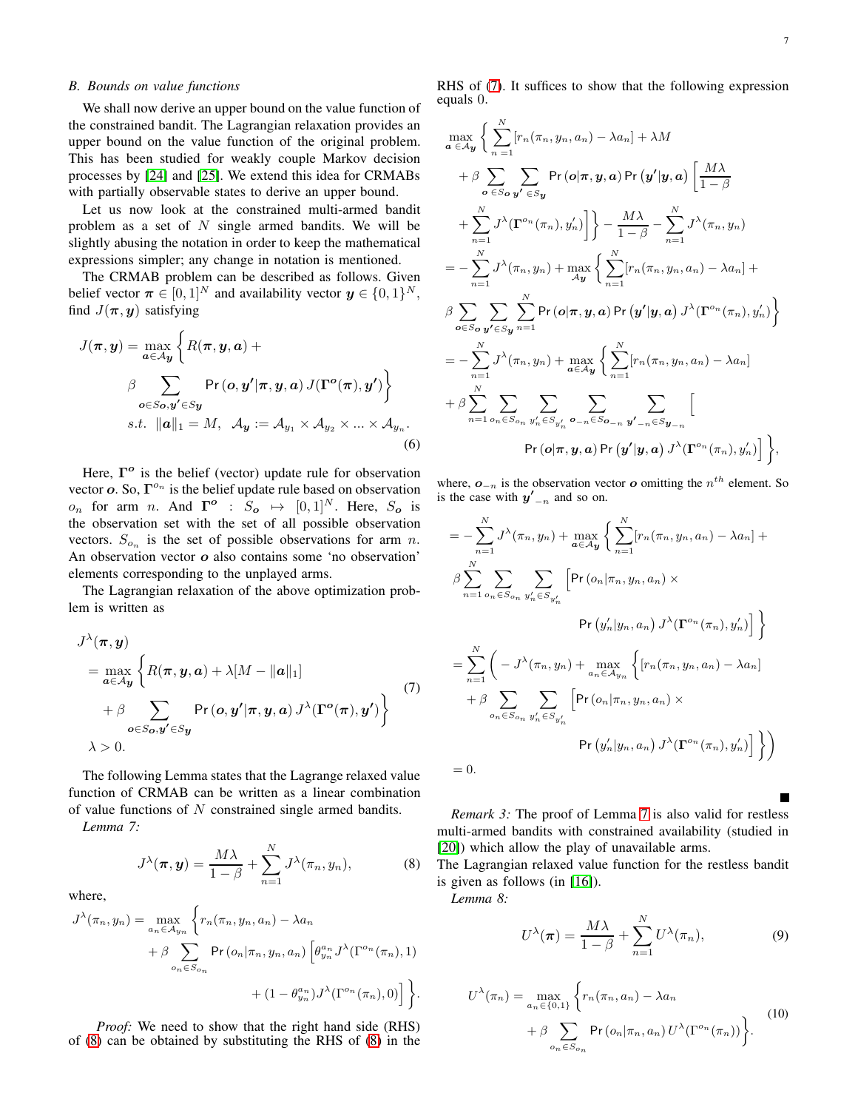Г

# <span id="page-6-1"></span>*B. Bounds on value functions*

We shall now derive an upper bound on the value function of the constrained bandit. The Lagrangian relaxation provides an upper bound on the value function of the original problem. This has been studied for weakly couple Markov decision processes by [\[24\]](#page-9-22) and [\[25\]](#page-9-23). We extend this idea for CRMABs with partially observable states to derive an upper bound.

Let us now look at the constrained multi-armed bandit problem as a set of  $N$  single armed bandits. We will be slightly abusing the notation in order to keep the mathematical expressions simpler; any change in notation is mentioned.

The CRMAB problem can be described as follows. Given belief vector  $\boldsymbol{\pi} \in [0, 1]^N$  and availability vector  $\boldsymbol{y} \in \{0, 1\}^N$ , find  $J(\pi, y)$  satisfying

$$
J(\pi, y) = \max_{a \in A_y} \left\{ R(\pi, y, a) + \beta \sum_{o \in S_o, y' \in S_y} \Pr(o, y' | \pi, y, a) J(\Gamma^o(\pi), y') \right\}
$$
  
 s.t.  $||a||_1 = M$ ,  $A_y := A_{y_1} \times A_{y_2} \times ... \times A_{y_n}$ .

Here,  $\Gamma$ <sup>o</sup> is the belief (vector) update rule for observation vector  $o$ . So,  $\Gamma^{o_n}$  is the belief update rule based on observation  $o_n$  for arm *n*. And  $\mathbf{\Gamma}^o$  :  $S_o \mapsto [0, 1]^N$ . Here,  $S_o$  is the observation set with the set of all possible observation vectors.  $S_{o_n}$  is the set of possible observations for arm n. An observation vector  $o$  also contains some 'no observation' elements corresponding to the unplayed arms.

The Lagrangian relaxation of the above optimization problem is written as

$$
J^{\lambda}(\pi, y)
$$
  
=  $\max_{a \in A_y} \left\{ R(\pi, y, a) + \lambda [M - ||a||_1] + \beta \sum_{o \in S_o, y' \in S_y} Pr(o, y' | \pi, y, a) J^{\lambda}(\Gamma^o(\pi), y') \right\}$  (7)  
 $\lambda > 0.$ 

The following Lemma states that the Lagrange relaxed value function of CRMAB can be written as a linear combination of value functions of N constrained single armed bandits.

*Lemma 7:*

$$
J^{\lambda}(\boldsymbol{\pi}, \boldsymbol{y}) = \frac{M\lambda}{1-\beta} + \sum_{n=1}^{N} J^{\lambda}(\pi_n, y_n), \tag{8}
$$

where,

$$
J^{\lambda}(\pi_n, y_n) = \max_{a_n \in A_{y_n}} \left\{ r_n(\pi_n, y_n, a_n) - \lambda a_n + \beta \sum_{o_n \in S_{o_n}} \Pr\left(o_n | \pi_n, y_n, a_n\right) \left[\theta_{y_n}^{a_n} J^{\lambda}(\Gamma^{o_n}(\pi_n), 1) + (1 - \theta_{y_n}^{a_n}) J^{\lambda}(\Gamma^{o_n}(\pi_n), 0)\right] \right\}.
$$

*Proof:* We need to show that the right hand side (RHS) of [\(8\)](#page-6-0) can be obtained by substituting the RHS of [\(8\)](#page-6-0) in the

RHS of [\(7\)](#page-6-1). It suffices to show that the following expression equals 0.

$$
\max_{\mathbf{a} \in A_{\mathbf{y}}} \Big\{ \sum_{n=1}^{N} [r_n(\pi_n, y_n, a_n) - \lambda a_n] + \lambda M
$$
  
+  $\beta \sum_{\mathbf{o} \in S_{\mathbf{o}} \mathbf{y'}} \sum_{\mathbf{y'} \in S_{\mathbf{y}}} \text{Pr}(o|\pi, \mathbf{y}, \mathbf{a}) \text{Pr}(\mathbf{y'}|\mathbf{y}, \mathbf{a}) \Big[ \frac{M\lambda}{1-\beta} + \sum_{n=1}^{N} J^{\lambda}(\mathbf{\Gamma}^{o_n}(\pi_n), y'_n) \Big] \Big\} - \frac{M\lambda}{1-\beta} - \sum_{n=1}^{N} J^{\lambda}(\pi_n, y_n) = - \sum_{n=1}^{N} J^{\lambda}(\pi_n, y_n) + \max_{A_{\mathbf{y}}} \Big\{ \sum_{n=1}^{N} [r_n(\pi_n, y_n, a_n) - \lambda a_n] + \beta \sum_{\mathbf{o} \in S_{\mathbf{o}} \mathbf{y'} \in S_{\mathbf{y}}} \sum_{n=1}^{N} \text{Pr}(o|\pi, \mathbf{y}, \mathbf{a}) \text{Pr}(\mathbf{y'}|\mathbf{y}, \mathbf{a}) J^{\lambda}(\mathbf{\Gamma}^{o_n}(\pi_n), y'_n) \Big\} = - \sum_{n=1}^{N} J^{\lambda}(\pi_n, y_n) + \max_{\mathbf{a} \in A_{\mathbf{y}}} \Big\{ \sum_{n=1}^{N} [r_n(\pi_n, y_n, a_n) - \lambda a_n] + \beta \sum_{n=1}^{N} \sum_{o_n \in S_{o_n}} \sum_{y'_n \in S_{y'_n}} \sum_{o_n \in S_{o_{-n}}} \sum_{\mathbf{y'}_{-n} \in S_{\mathbf{y}_{-n}}} \Big[ \text{Pr}(o|\pi, \mathbf{y}, \mathbf{a}) \text{Pr}(\mathbf{y'}|\mathbf{y}, \mathbf{a}) J^{\lambda}(\mathbf{\Gamma}^{o_n}(\pi_n), y'_n) \Big] \Big\},$ 

where,  $o_{-n}$  is the observation vector  $o$  omitting the  $n^{th}$  element. So is the case with  $y'_{-n}$  and so on.

$$
= -\sum_{n=1}^{N} J^{\lambda}(\pi_n, y_n) + \max_{\mathbf{a} \in \mathcal{A}\mathbf{y}} \left\{ \sum_{n=1}^{N} [r_n(\pi_n, y_n, a_n) - \lambda a_n] + \beta \sum_{n=1}^{N} \sum_{o_n \in S_{o_n}} \sum_{y'_n \in S_{y'_n}} \left[ \Pr(o_n | \pi_n, y_n, a_n) \times \Pr(y'_n | y_n, a_n) J^{\lambda}(\mathbf{\Gamma}^{o_n}(\pi_n), y'_n) \right] \right\}
$$
  

$$
= \sum_{n=1}^{N} \left( -J^{\lambda}(\pi_n, y_n) + \max_{a_n \in \mathcal{A}\mathbf{y}_n} \left\{ [r_n(\pi_n, y_n, a_n) - \lambda a_n] + \beta \sum_{o_n \in S_{o_n}} \sum_{y'_n \in S_{y'_n}} \left[ \Pr(o_n | \pi_n, y_n, a_n) \times \Pr(y'_n | y_n, a_n) J^{\lambda}(\mathbf{\Gamma}^{o_n}(\pi_n), y'_n) \right] \right\} \right)
$$
  
= 0.

<span id="page-6-0"></span>*Remark 3:* The proof of Lemma [7](#page-6-0) is also valid for restless multi-armed bandits with constrained availability (studied in [\[20\]](#page-9-17)) which allow the play of unavailable arms.

The Lagrangian relaxed value function for the restless bandit is given as follows (in [\[16\]](#page-9-13)).

*Lemma 8:*

$$
U^{\lambda}(\boldsymbol{\pi}) = \frac{M\lambda}{1-\beta} + \sum_{n=1}^{N} U^{\lambda}(\pi_n),
$$
\n(9)

$$
U^{\lambda}(\pi_n) = \max_{a_n \in \{0,1\}} \left\{ r_n(\pi_n, a_n) - \lambda a_n + \beta \sum_{o_n \in S_{o_n}} \Pr(o_n | \pi_n, a_n) U^{\lambda}(\Gamma^{o_n}(\pi_n)) \right\}.
$$
 (10)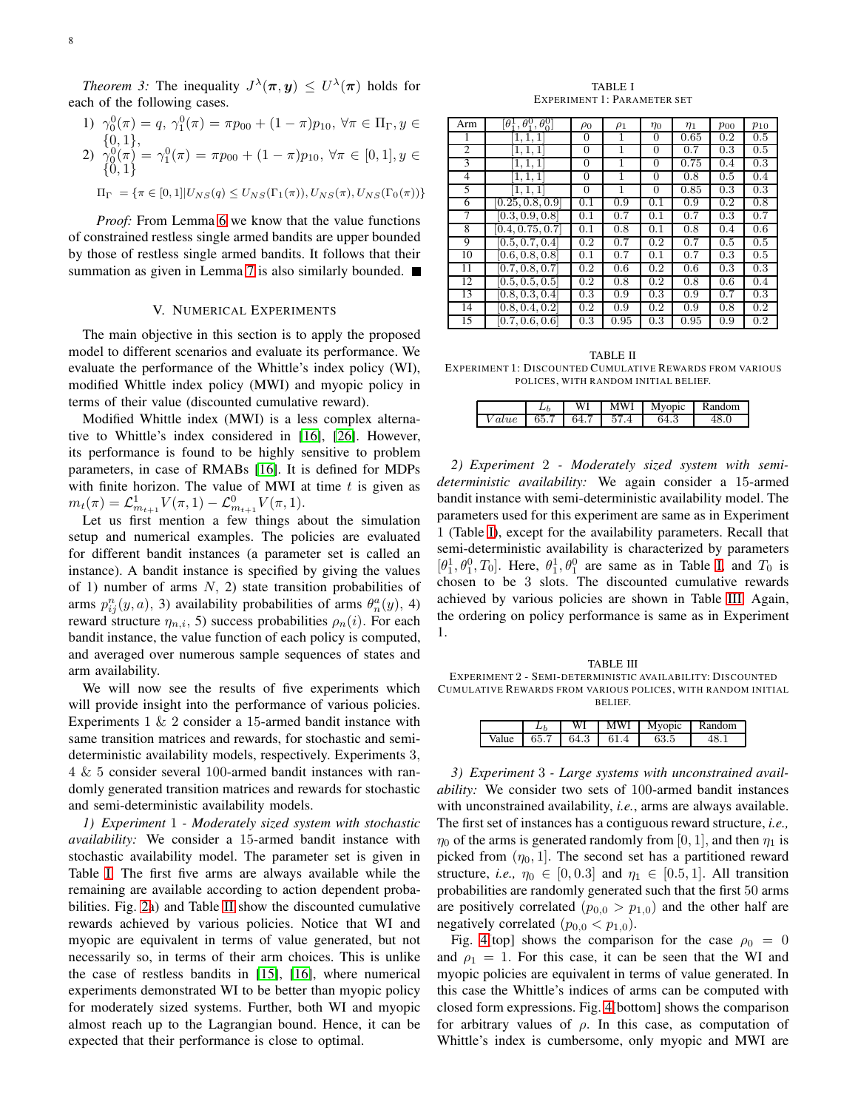*Theorem 3:* The inequality  $J^{\lambda}(\pi, y) \leq U^{\lambda}(\pi)$  holds for each of the following cases.

1) 
$$
\gamma_0^0(\pi) = q, \ \gamma_1^0(\pi) = \pi p_{00} + (1 - \pi) p_{10}, \ \forall \pi \in \Pi_{\Gamma}, y \in
$$
  
\n2)  $\gamma_0^0(\pi) = \gamma_1^0(\pi) = \pi p_{00} + (1 - \pi) p_{10}, \ \forall \pi \in [0, 1], y \in$   
\n3)  $\gamma_0^0(\pi) = \gamma_1^0(\pi) = \pi p_{00} + (1 - \pi) p_{10}, \ \forall \pi \in [0, 1], y \in$ 

$$
\Pi_{\Gamma} = \{ \pi \in [0,1] | U_{NS}(q) \leq U_{NS}(\Gamma_1(\pi)), U_{NS}(\pi), U_{NS}(\Gamma_0(\pi)) \}
$$

*Proof:* From Lemma [6](#page-5-3) we know that the value functions of constrained restless single armed bandits are upper bounded by those of restless single armed bandits. It follows that their summation as given in Lemma [7](#page-6-0) is also similarly bounded.

## V. NUMERICAL EXPERIMENTS

<span id="page-7-0"></span>The main objective in this section is to apply the proposed model to different scenarios and evaluate its performance. We evaluate the performance of the Whittle's index policy (WI), modified Whittle index policy (MWI) and myopic policy in terms of their value (discounted cumulative reward).

Modified Whittle index (MWI) is a less complex alternative to Whittle's index considered in [\[16\]](#page-9-13), [\[26\]](#page-9-24). However, its performance is found to be highly sensitive to problem parameters, in case of RMABs [\[16\]](#page-9-13). It is defined for MDPs with finite horizon. The value of MWI at time  $t$  is given as  $m_t(\pi) = \mathcal{L}_{m_{t+1}}^1 V(\pi, 1) - \mathcal{L}_{m_{t+1}}^0 V(\pi, 1).$ 

Let us first mention a few things about the simulation setup and numerical examples. The policies are evaluated for different bandit instances (a parameter set is called an instance). A bandit instance is specified by giving the values of 1) number of arms  $N$ , 2) state transition probabilities of arms  $p_{ij}^n(y, a)$ , 3) availability probabilities of arms  $\theta_n^a(y)$ , 4) reward structure  $\eta_{n,i}$ , 5) success probabilities  $\rho_n(i)$ . For each bandit instance, the value function of each policy is computed, and averaged over numerous sample sequences of states and arm availability.

We will now see the results of five experiments which will provide insight into the performance of various policies. Experiments  $1 \& 2$  consider a 15-armed bandit instance with same transition matrices and rewards, for stochastic and semideterministic availability models, respectively. Experiments 3, 4 & 5 consider several 100-armed bandit instances with randomly generated transition matrices and rewards for stochastic and semi-deterministic availability models.

*1) Experiment* 1 *- Moderately sized system with stochastic availability:* We consider a 15-armed bandit instance with stochastic availability model. The parameter set is given in Table [I.](#page-7-1) The first five arms are always available while the remaining are available according to action dependent probabilities. Fig. [2a](#page-8-0)) and Table [II](#page-7-2) show the discounted cumulative rewards achieved by various policies. Notice that WI and myopic are equivalent in terms of value generated, but not necessarily so, in terms of their arm choices. This is unlike the case of restless bandits in [\[15\]](#page-9-12), [\[16\]](#page-9-13), where numerical experiments demonstrated WI to be better than myopic policy for moderately sized systems. Further, both WI and myopic almost reach up to the Lagrangian bound. Hence, it can be expected that their performance is close to optimal.

TABLE I EXPERIMENT 1: PARAMETER SET

<span id="page-7-1"></span>

| Arm            | $^{0}_{1}, \theta^{0}_{0}$<br>$[\theta_1^1, \theta_1^0]$ | $\rho_0$ | $\rho_1$ | $\eta_0$ | $\eta_1$ | $p_{00}$ | $p_{10}$ |
|----------------|----------------------------------------------------------|----------|----------|----------|----------|----------|----------|
|                | 1, 1, 1                                                  | 0        |          | 0        | 0.65     | 0.2      | 0.5      |
| $\overline{c}$ | 1, 1, 1                                                  | $\Omega$ | 1        | 0        | 0.7      | 0.3      | 0.5      |
| 3              | [1, 1, 1]                                                | 0        | 1        | 0        | 0.75     | 0.4      | 0.3      |
| 4              | 1, 1, 1                                                  | $\Omega$ | 1        | 0        | 0.8      | 0.5      | 0.4      |
| 5              | [1, 1, 1]                                                | $\Omega$ | 1        | 0        | 0.85     | 0.3      | 0.3      |
| 6              | [0.25, 0.8, 0.9]                                         | 0.1      | 0.9      | 0.1      | 0.9      | 0.2      | 0.8      |
| 7              | [0.3, 0.9, 0.8]                                          | 0.1      | 0.7      | 0.1      | 0.7      | 0.3      | 0.7      |
| 8              | $\overline{0.4}, 0.75, 0.7$                              | 0.1      | 0.8      | 0.1      | 0.8      | 0.4      | 0.6      |
| 9              | [0.5, 0.7, 0.4]                                          | 0.2      | 0.7      | 0.2      | 0.7      | 0.5      | 0.5      |
| 10             | [0.6, 0.8, 0.8]                                          | 0.1      | 0.7      | 0.1      | 0.7      | 0.3      | 0.5      |
| 11             | [0.7, 0.8, 0.7]                                          | 0.2      | 0.6      | 0.2      | 0.6      | 0.3      | 0.3      |
| 12             | [0.5, 0.5, 0.5]                                          | 0.2      | 0.8      | 0.2      | 0.8      | 0.6      | 0.4      |
| 13             | [0.8, 0.3, 0.4]                                          | 0.3      | 0.9      | 0.3      | 0.9      | 0.7      | 0.3      |
| 14             | [0.8, 0.4, 0.2]                                          | 0.2      | 0.9      | 0.2      | 0.9      | 0.8      | 0.2      |
| 15             | [0.7, 0.6, 0.6]                                          | 0.3      | 0.95     | 0.3      | 0.95     | 0.9      | 0.2      |

<span id="page-7-2"></span>TABLE II EXPERIMENT 1: DISCOUNTED CUMULATIVE REWARDS FROM VARIOUS POLICES, WITH RANDOM INITIAL BELIEF.

|      | WI                   | MWI | Myopic | Random |
|------|----------------------|-----|--------|--------|
| alue | $65.7$   64.7   57.4 |     | 64.3   |        |

*2) Experiment* 2 *- Moderately sized system with semideterministic availability:* We again consider a 15-armed bandit instance with semi-deterministic availability model. The parameters used for this experiment are same as in Experiment 1 (Table [I\)](#page-7-1), except for the availability parameters. Recall that semi-deterministic availability is characterized by parameters  $[\theta_1^1, \theta_1^0, T_0]$ . Here,  $\theta_1^1, \theta_1^0$  are same as in Table [I,](#page-7-1) and  $T_0$  is chosen to be 3 slots. The discounted cumulative rewards achieved by various policies are shown in Table [III.](#page-7-3) Again, the ordering on policy performance is same as in Experiment 1.

<span id="page-7-3"></span>TABLE III EXPERIMENT 2 - SEMI-DETERMINISTIC AVAILABILITY: DISCOUNTED CUMULATIVE REWARDS FROM VARIOUS POLICES, WITH RANDOM INITIAL BELIEF.

|       |      | WI   | MWI  | Mvopic           | Random |
|-------|------|------|------|------------------|--------|
| Value | 65.7 | 64.3 | 61.4 | $\alpha$<br>03.D |        |

*3) Experiment* 3 *- Large systems with unconstrained availability:* We consider two sets of 100-armed bandit instances with unconstrained availability, *i.e.*, arms are always available. The first set of instances has a contiguous reward structure, *i.e.,*  $\eta_0$  of the arms is generated randomly from [0, 1], and then  $\eta_1$  is picked from  $(\eta_0, 1]$ . The second set has a partitioned reward structure, *i.e.*,  $\eta_0 \in [0, 0.3]$  and  $\eta_1 \in [0.5, 1]$ . All transition probabilities are randomly generated such that the first 50 arms are positively correlated  $(p_{0,0} > p_{1,0})$  and the other half are negatively correlated  $(p_{0,0} < p_{1,0})$ .

Fig. [4\[](#page-8-1)top] shows the comparison for the case  $\rho_0 = 0$ and  $\rho_1 = 1$ . For this case, it can be seen that the WI and myopic policies are equivalent in terms of value generated. In this case the Whittle's indices of arms can be computed with closed form expressions. Fig. [4\[](#page-8-1)bottom] shows the comparison for arbitrary values of  $\rho$ . In this case, as computation of Whittle's index is cumbersome, only myopic and MWI are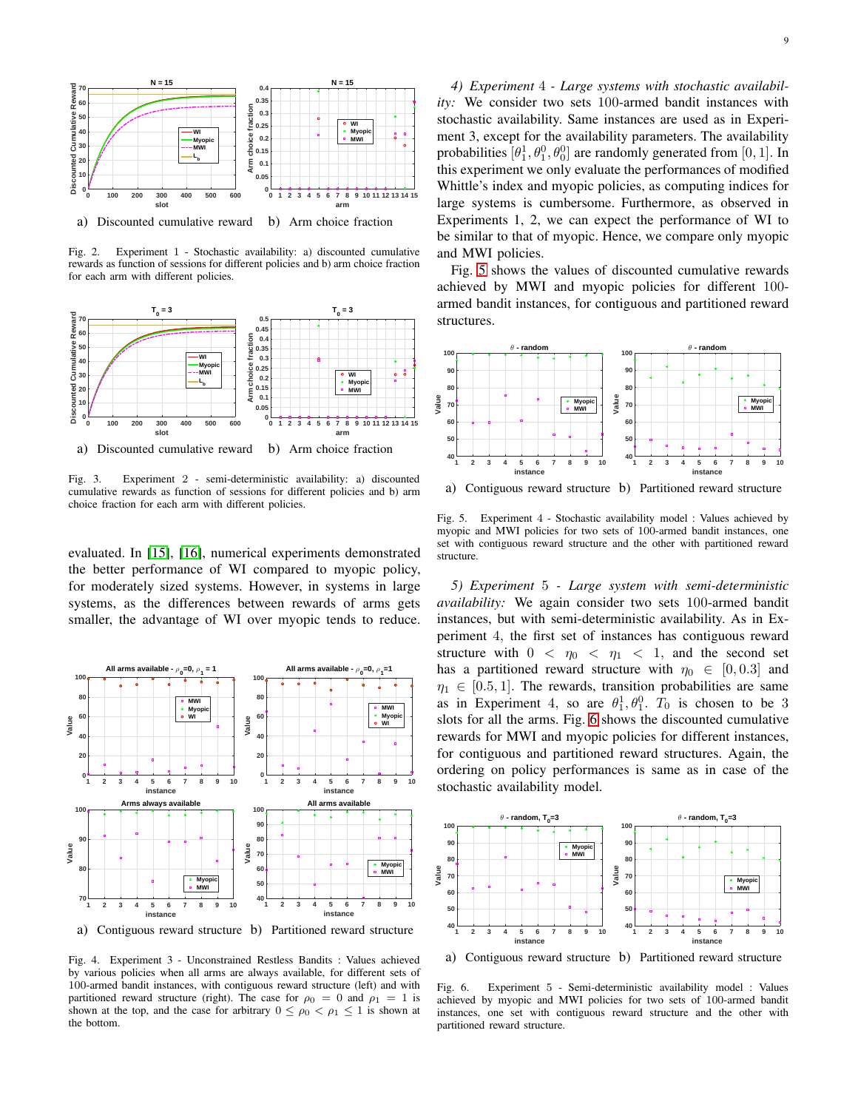

a) Discounted cumulative reward b) Arm choice fraction

<span id="page-8-0"></span>Fig. 2. Experiment 1 - Stochastic availability: a) discounted cumulative rewards as function of sessions for different policies and b) arm choice fraction for each arm with different policies.



Fig. 3. Experiment 2 - semi-deterministic availability: a) discounted cumulative rewards as function of sessions for different policies and b) arm choice fraction for each arm with different policies.

evaluated. In [\[15\]](#page-9-12), [\[16\]](#page-9-13), numerical experiments demonstrated the better performance of WI compared to myopic policy, for moderately sized systems. However, in systems in large systems, as the differences between rewards of arms gets smaller, the advantage of WI over myopic tends to reduce.



a) Contiguous reward structure b) Partitioned reward structure

<span id="page-8-1"></span>Fig. 4. Experiment 3 - Unconstrained Restless Bandits : Values achieved by various policies when all arms are always available, for different sets of 100-armed bandit instances, with contiguous reward structure (left) and with partitioned reward structure (right). The case for  $\rho_0 = 0$  and  $\rho_1 = 1$  is shown at the top, and the case for arbitrary  $0 \leq \rho_0 < \rho_1 \leq 1$  is shown at the bottom.

*4) Experiment* 4 *- Large systems with stochastic availability:* We consider two sets 100-armed bandit instances with stochastic availability. Same instances are used as in Experiment 3, except for the availability parameters. The availability probabilities  $[\theta_1^1, \theta_1^0, \theta_0^0]$  are randomly generated from  $[0, 1]$ . In this experiment we only evaluate the performances of modified Whittle's index and myopic policies, as computing indices for large systems is cumbersome. Furthermore, as observed in Experiments 1, 2, we can expect the performance of WI to be similar to that of myopic. Hence, we compare only myopic and MWI policies.

Fig. [5](#page-8-2) shows the values of discounted cumulative rewards achieved by MWI and myopic policies for different 100 armed bandit instances, for contiguous and partitioned reward structures.



a) Contiguous reward structure b) Partitioned reward structure

<span id="page-8-2"></span>Fig. 5. Experiment 4 - Stochastic availability model : Values achieved by myopic and MWI policies for two sets of 100-armed bandit instances, one set with contiguous reward structure and the other with partitioned reward structure.

*5) Experiment* 5 *- Large system with semi-deterministic availability:* We again consider two sets 100-armed bandit instances, but with semi-deterministic availability. As in Experiment 4, the first set of instances has contiguous reward structure with  $0 < \eta_0 < \eta_1 < 1$ , and the second set has a partitioned reward structure with  $\eta_0 \in [0, 0.3]$  and  $\eta_1 \in [0.5, 1]$ . The rewards, transition probabilities are same as in Experiment 4, so are  $\theta_1^1, \theta_1^0$ .  $T_0$  is chosen to be 3 slots for all the arms. Fig. [6](#page-8-3) shows the discounted cumulative rewards for MWI and myopic policies for different instances, for contiguous and partitioned reward structures. Again, the ordering on policy performances is same as in case of the stochastic availability model.



a) Contiguous reward structure b) Partitioned reward structure

<span id="page-8-3"></span>Fig. 6. Experiment 5 - Semi-deterministic availability model : Values achieved by myopic and MWI policies for two sets of 100-armed bandit instances, one set with contiguous reward structure and the other with partitioned reward structure.